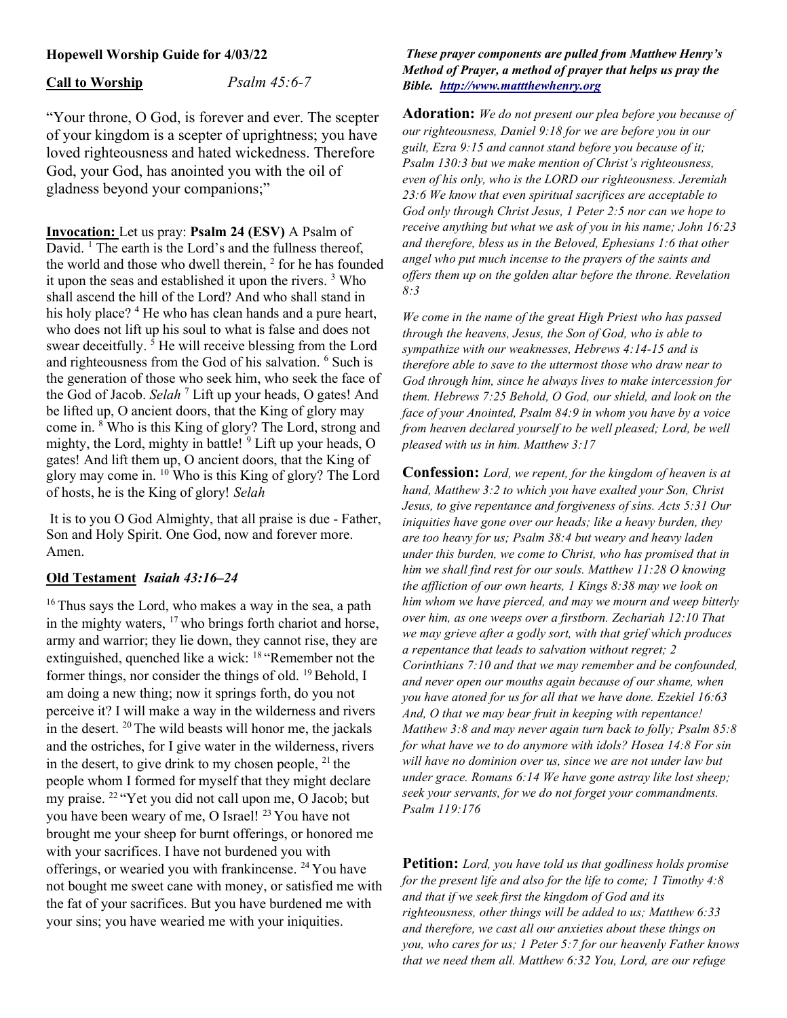## Hopewell Worship Guide for 4/03/22

Call to Worship Psalm 45:6-7

"Your throne, O God, is forever and ever. The scepter of your kingdom is a scepter of uprightness; you have loved righteousness and hated wickedness. Therefore God, your God, has anointed you with the oil of gladness beyond your companions;"

Invocation: Let us pray: Psalm 24 (ESV) A Psalm of David. <sup>1</sup> The earth is the Lord's and the fullness thereof, the world and those who dwell therein, <sup>2</sup> for he has founded it upon the seas and established it upon the rivers.<sup>3</sup> Who shall ascend the hill of the Lord? And who shall stand in his holy place? <sup>4</sup> He who has clean hands and a pure heart, who does not lift up his soul to what is false and does not swear deceitfully.<sup>5</sup> He will receive blessing from the Lord and righteousness from the God of his salvation. <sup>6</sup> Such is the generation of those who seek him, who seek the face of the God of Jacob. Selah<sup>7</sup> Lift up your heads, O gates! And be lifted up, O ancient doors, that the King of glory may come in. <sup>8</sup> Who is this King of glory? The Lord, strong and mighty, the Lord, mighty in battle! <sup>9</sup> Lift up your heads, O gates! And lift them up, O ancient doors, that the King of glory may come in. <sup>10</sup> Who is this King of glory? The Lord of hosts, he is the King of glory! Selah

 It is to you O God Almighty, that all praise is due - Father, Son and Holy Spirit. One God, now and forever more. Amen.

### Old Testament Isaiah 43:16–24

<sup>16</sup> Thus says the Lord, who makes a way in the sea, a path in the mighty waters,  $17$  who brings forth chariot and horse, army and warrior; they lie down, they cannot rise, they are extinguished, quenched like a wick: <sup>18</sup> "Remember not the former things, nor consider the things of old.  $^{19}$  Behold, I am doing a new thing; now it springs forth, do you not perceive it? I will make a way in the wilderness and rivers in the desert.  $20$  The wild beasts will honor me, the jackals and the ostriches, for I give water in the wilderness, rivers in the desert, to give drink to my chosen people,  $^{21}$  the people whom I formed for myself that they might declare my praise. <sup>22</sup>"Yet you did not call upon me, O Jacob; but you have been weary of me, O Israel!<sup>23</sup> You have not brought me your sheep for burnt offerings, or honored me with your sacrifices. I have not burdened you with offerings, or wearied you with frankincense. <sup>24</sup>You have not bought me sweet cane with money, or satisfied me with the fat of your sacrifices. But you have burdened me with your sins; you have wearied me with your iniquities.

#### These prayer components are pulled from Matthew Henry's Method of Prayer, a method of prayer that helps us pray the Bible. http://www.mattthewhenry.org

Adoration: We do not present our plea before you because of our righteousness, Daniel 9:18 for we are before you in our guilt, Ezra 9:15 and cannot stand before you because of it; Psalm 130:3 but we make mention of Christ's righteousness, even of his only, who is the LORD our righteousness. Jeremiah 23:6 We know that even spiritual sacrifices are acceptable to God only through Christ Jesus, 1 Peter 2:5 nor can we hope to receive anything but what we ask of you in his name; John 16:23 and therefore, bless us in the Beloved, Ephesians 1:6 that other angel who put much incense to the prayers of the saints and offers them up on the golden altar before the throne. Revelation 8:3

We come in the name of the great High Priest who has passed through the heavens, Jesus, the Son of God, who is able to sympathize with our weaknesses, Hebrews 4:14-15 and is therefore able to save to the uttermost those who draw near to God through him, since he always lives to make intercession for them. Hebrews 7:25 Behold, O God, our shield, and look on the face of your Anointed, Psalm 84:9 in whom you have by a voice from heaven declared yourself to be well pleased; Lord, be well pleased with us in him. Matthew 3:17

Confession: Lord, we repent, for the kingdom of heaven is at hand, Matthew 3:2 to which you have exalted your Son, Christ Jesus, to give repentance and forgiveness of sins. Acts 5:31 Our iniquities have gone over our heads; like a heavy burden, they are too heavy for us; Psalm 38:4 but weary and heavy laden under this burden, we come to Christ, who has promised that in him we shall find rest for our souls. Matthew 11:28 O knowing the affliction of our own hearts, 1 Kings 8:38 may we look on him whom we have pierced, and may we mourn and weep bitterly over him, as one weeps over a firstborn. Zechariah 12:10 That we may grieve after a godly sort, with that grief which produces a repentance that leads to salvation without regret; 2 Corinthians 7:10 and that we may remember and be confounded, and never open our mouths again because of our shame, when you have atoned for us for all that we have done. Ezekiel 16:63 And, O that we may bear fruit in keeping with repentance! Matthew 3:8 and may never again turn back to folly; Psalm 85:8 for what have we to do anymore with idols? Hosea 14:8 For sin will have no dominion over us, since we are not under law but under grace. Romans 6:14 We have gone astray like lost sheep; seek your servants, for we do not forget your commandments. Psalm 119:176

Petition: Lord, you have told us that godliness holds promise for the present life and also for the life to come; 1 Timothy  $4:8$ and that if we seek first the kingdom of God and its righteousness, other things will be added to us; Matthew 6:33 and therefore, we cast all our anxieties about these things on you, who cares for us; 1 Peter 5:7 for our heavenly Father knows that we need them all. Matthew 6:32 You, Lord, are our refuge